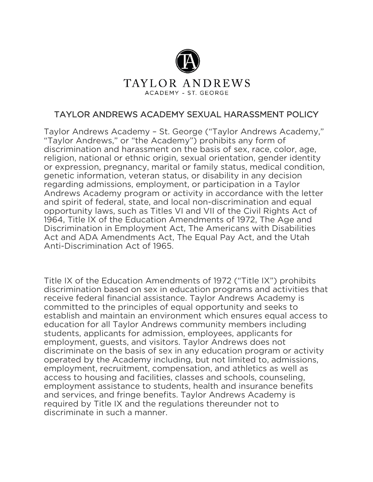

## TAYLOR ANDREWS ACADEMY - ST. GEORGE

# TAYLOR ANDREWS ACADEMY SEXUAL HARASSMENT POLICY

Taylor Andrews Academy – St. George ("Taylor Andrews Academy," "Taylor Andrews," or "the Academy") prohibits any form of discrimination and harassment on the basis of sex, race, color, age, religion, national or ethnic origin, sexual orientation, gender identity or expression, pregnancy, marital or family status, medical condition, genetic information, veteran status, or disability in any decision regarding admissions, employment, or participation in a Taylor Andrews Academy program or activity in accordance with the letter and spirit of federal, state, and local non-discrimination and equal opportunity laws, such as Titles VI and VII of the Civil Rights Act of 1964, Title IX of the Education Amendments of 1972, The Age and Discrimination in Employment Act, The Americans with Disabilities Act and ADA Amendments Act, The Equal Pay Act, and the Utah Anti-Discrimination Act of 1965.

Title IX of the Education Amendments of 1972 ("Title IX") prohibits discrimination based on sex in education programs and activities that receive federal financial assistance. Taylor Andrews Academy is committed to the principles of equal opportunity and seeks to establish and maintain an environment which ensures equal access to education for all Taylor Andrews community members including students, applicants for admission, employees, applicants for employment, guests, and visitors. Taylor Andrews does not discriminate on the basis of sex in any education program or activity operated by the Academy including, but not limited to, admissions, employment, recruitment, compensation, and athletics as well as access to housing and facilities, classes and schools, counseling, employment assistance to students, health and insurance benefits and services, and fringe benefits. Taylor Andrews Academy is required by Title IX and the regulations thereunder not to discriminate in such a manner.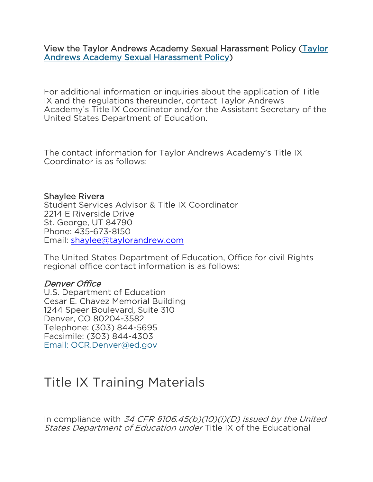View the Taylor Andrews Academy Sexual Harassment Policy [\(Taylor](https://taylorandrew.com/wp-content/uploads/2021/01/Taylor-Andrews-Academy-Sexual-Harassment-Policy_UPDATED-01.2021.pdf)  [Andrews Academy Sexual Harassment Policy\)](https://taylorandrew.com/wp-content/uploads/2021/01/Taylor-Andrews-Academy-Sexual-Harassment-Policy_UPDATED-01.2021.pdf)

For additional information or inquiries about the application of Title IX and the regulations thereunder, contact Taylor Andrews Academy's Title IX Coordinator and/or the Assistant Secretary of the United States Department of Education.

The contact information for Taylor Andrews Academy's Title IX Coordinator is as follows:

#### Shaylee Rivera

Student Services Advisor & Title IX Coordinator 2214 E Riverside Drive St. George, UT 84790 Phone: 435-673-8150 Email: [shaylee@taylorandrew.com](mailto:shaylee@taylorandrew.com)

The United States Department of Education, Office for civil Rights regional office contact information is as follows:

### Denver Office

U.S. Department of Education Cesar E. Chavez Memorial Building 1244 Speer Boulevard, Suite 310 Denver, CO 80204-3582 Telephone: (303) 844-5695 Facsimile: (303) 844-4303 Email: [OCR.Denver@ed.gov](mailto:OCR.Denver@ed.gov)

# Title IX Training Materials

In compliance with 34 CFR  $$106.45(b)(10)(i)(D)$  issued by the United States Department of Education under Title IX of the Educational